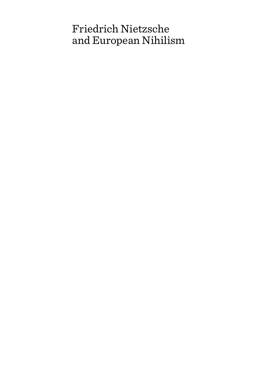# Friedrich Nietzsche and European Nihilism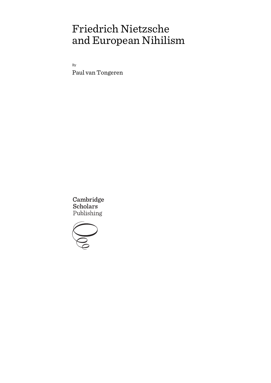# Friedrich Nietzsche and European Nihilism

By Paul van Tongeren

Cambridge **Scholars** Publishing

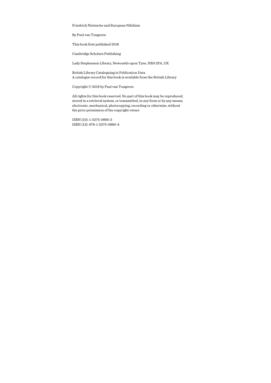Friedrich Nietzsche and European Nihilism

By Paul van Tongeren

This book first published 2018

Cambridge Scholars Publishing

Lady Stephenson Library, Newcastle upon Tyne, NE6 2PA, UK

British Library Cataloguing in Publication Data A catalogue record for this book is available from the British Library

Copyright © 2018 by Paul van Tongeren

All rights for this book reserved. No part of this book may be reproduced, stored in a retrieval system, or transmitted, in any form or by any means, electronic, mechanical, photocopying, recording or otherwise, without the prior permission of the copyright owner.

ISBN (10): 1-5275-0880-3 ISBN (13): 978-1-5275-0880-4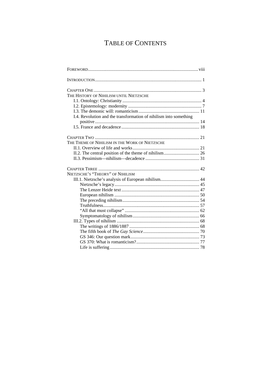# TABLE OF CONTENTS

| THE HISTORY OF NIHILISM UNTIL NIETZSCHE                           |  |
|-------------------------------------------------------------------|--|
|                                                                   |  |
|                                                                   |  |
|                                                                   |  |
| I.4. Revolution and the transformation of nihilism into something |  |
|                                                                   |  |
|                                                                   |  |
|                                                                   |  |
| THE THEME OF NIHILISM IN THE WORK OF NIETZSCHE                    |  |
|                                                                   |  |
|                                                                   |  |
|                                                                   |  |
|                                                                   |  |
|                                                                   |  |
| NIETZSCHE'S "THEORY" OF NIHILISM                                  |  |
|                                                                   |  |
|                                                                   |  |
|                                                                   |  |
|                                                                   |  |
|                                                                   |  |
|                                                                   |  |
|                                                                   |  |
|                                                                   |  |
|                                                                   |  |
|                                                                   |  |
|                                                                   |  |
|                                                                   |  |
|                                                                   |  |
|                                                                   |  |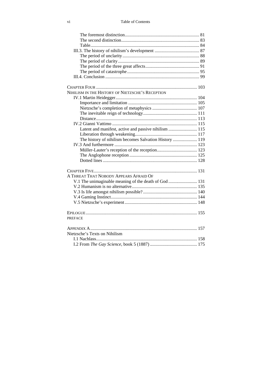| NIHILISM IN THE HISTORY OF NIETZSCHE'S RECEPTION       |  |
|--------------------------------------------------------|--|
|                                                        |  |
|                                                        |  |
|                                                        |  |
|                                                        |  |
|                                                        |  |
|                                                        |  |
| Latent and manifest, active and passive nihilism  115  |  |
|                                                        |  |
| The history of nihilism becomes Salvation History  119 |  |
|                                                        |  |
|                                                        |  |
|                                                        |  |
|                                                        |  |
|                                                        |  |
|                                                        |  |
| A THREAT THAT NOBODY APPEARS AFRAID OF                 |  |
| V.1 The unimaginable meaning of the death of God  131  |  |
|                                                        |  |
|                                                        |  |
|                                                        |  |
|                                                        |  |
|                                                        |  |
| <b>PREFACE</b>                                         |  |
|                                                        |  |
| Nietzsche's Texts on Nihilism                          |  |
|                                                        |  |
|                                                        |  |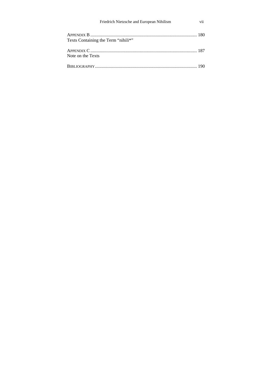| Friedrich Nietzsche and European Nihilism | vii |
|-------------------------------------------|-----|
| Texts Containing the Term "nihili*"       |     |
| Note on the Texts                         |     |
|                                           |     |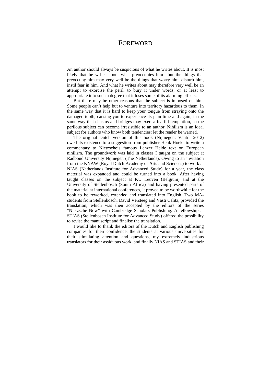### FOREWORD

An author should always be suspicious of what he writes about. It is most likely that he writes about what preoccupies him—but the things that preoccupy him may very well be the things that worry him, disturb him, instil fear in him. And what he writes about may therefore very well be an attempt to exorcise the peril, to bury it under words, or at least to appropriate it to such a degree that it loses some of its alarming effects.

But there may be other reasons that the subject is imposed on him. Some people can't help but to venture into territory hazardous to them. In the same way that it is hard to keep your tongue from straying onto the damaged tooth, causing you to experience its pain time and again; in the same way that chasms and bridges may exert a fearful temptation, so the perilous subject can become irresistible to an author. Nihilism is an ideal subject for authors who know both tendencies: let the reader be warned.

The original Dutch version of this book (Nijmegen: Vantilt 2012) owed its existence to a suggestion from publisher Henk Hoeks to write a commentary to Nietzsche's famous Lenzer Heide text on European nihilism. The groundwork was laid in classes I taught on the subject at Radboud University Nijmegen (The Netherlands). Owing to an invitation from the KNAW (Royal Dutch Academy of Arts and Sciences) to work at NIAS (Netherlands Institute for Advanced Study) for a year, the class material was expanded and could be turned into a book. After having taught classes on the subject at KU Leuven (Belgium) and at the University of Stellenbosch (South Africa) and having presented parts of the material at international conferences, it proved to be worthwhile for the book to be reworked, extended and translated into English. Two MAstudents from Stellenbosch, David Versteeg and Vasti Calitz, provided the translation, which was then accepted by the editors of the series "Nietzsche Now" with Cambridge Scholars Publishing. A fellowship at STIAS (Stellenbosch Institute for Advanced Study) offered the possibility to revise the manuscript and finalise the translation.

I would like to thank the editors of the Dutch and English publishing companies for their confidence, the students at various universities for their stimulating attention and questions, my extremely industrious translators for their assiduous work, and finally NIAS and STIAS and their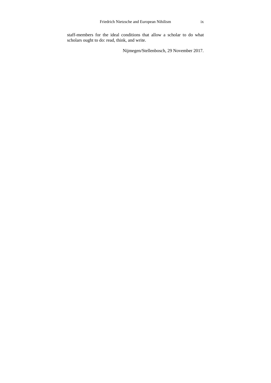staff-members for the ideal conditions that allow a scholar to do what scholars ought to do: read, think, and write.

Nijmegen/Stellenbosch, 29 November 2017.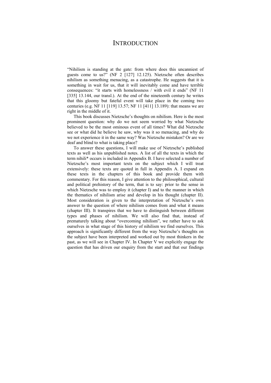## **INTRODUCTION**

"Nihilism is standing at the gate: from where does this uncanniest of guests come to us?" (NF 2 [127] 12.125). Nietzsche often describes nihilism as something menacing, as a catastrophe. He suggests that it is something in wait for us, that it will inevitably come and have terrible consequences: "it starts with homelessness / with evil it ends" (NF 11 [335] 13.144, our transl.). At the end of the nineteenth century he writes that this gloomy but fateful event will take place in the coming two centuries (e.g. NF 11 [119] 13.57; NF 11 [411] 13.189): that means we are right in the middle of it.

This book discusses Nietzsche's thoughts on nihilism. Here is the most prominent question: why do we not seem worried by what Nietzsche believed to be the most ominous event of all times? What did Nietzsche see or what did he believe he saw, why was it so menacing, and why do we not experience it in the same way? Was Nietzsche mistaken? Or are we deaf and blind to what is taking place?

To answer these questions, I will make use of Nietzsche's published texts as well as his unpublished notes. A list of all the texts in which the term nihili\* occurs is included in Appendix B. I have selected a number of Nietzsche's most important texts on the subject which I will treat extensively: these texts are quoted in full in Appendix A. I expand on these texts in the chapters of this book and provide them with commentary. For this reason, I give attention to the philosophical, cultural and political prehistory of the term, that is to say: prior to the sense in which Nietzsche was to employ it (chapter I) and to the manner in which the thematics of nihilism arise and develop in his thought (chapter II). Most consideration is given to the interpretation of Nietzsche's own answer to the question of where nihilism comes from and what it means (chapter III). It transpires that we have to distinguish between different types and phases of nihilism. We will also find that, instead of prematurely talking about "overcoming nihilism", we rather have to ask ourselves in what stage of this history of nihilism we find ourselves. This approach is significantly different from the way Nietzsche's thoughts on the subject have been interpreted and worked out by most thinkers in the past, as we will see in Chapter IV. In Chapter V we explicitly engage the question that has driven our enquiry from the start and that our findings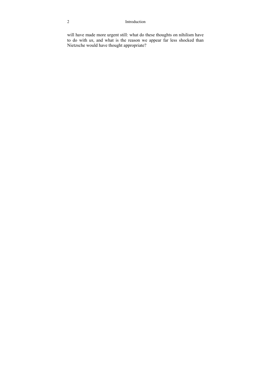will have made more urgent still: what do these thoughts on nihilism have to do with *us*, and what is the reason we appear far less shocked than Nietzsche would have thought appropriate?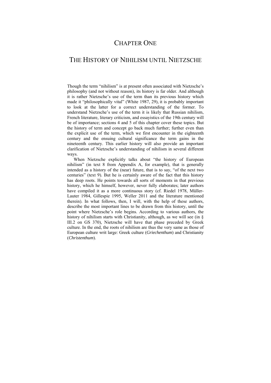# CHAPTER ONE

## THE HISTORY OF NIHILISM UNTIL NIETZSCHE

Though the term "nihilism" is at present often associated with Nietzsche's philosophy (and not without reason), its history is far older. And although it is rather Nietzsche's use of the term than its previous history which made it "philosophically vital" (White 1987, 29), it is probably important to look at the latter for a correct understanding of the former. To understand Nietzsche's use of the term it is likely that Russian nihilism, French literature, literary criticism, and essayistics of the 19th century will be of importance; sections 4 and 5 of this chapter cover these topics. But the history of term and concept go back much further; further even than the explicit use of the term, which we first encounter in the eighteenth century and the ensuing cultural significance the term gains in the nineteenth century. This earlier history will also provide an important clarification of Nietzsche's understanding of nihilism in several different ways.

When Nietzsche explicitly talks about "the history of European nihilism" (in text 8 from Appendix A, for example), that is generally intended as a history of the (near) future, that is to say, "of the next two centuries" (text 9). But he is certainly aware of the fact that this history has deep roots. He points towards all sorts of moments in that previous history, which he himself, however, never fully elaborates; later authors have compiled it as a more continuous story (cf. Riedel 1978, Müller-Lauter 1984, Gillespie 1995, Weller 2011 and the literature mentioned therein). In what follows, then, I will, with the help of these authors, describe the most important lines to be drawn from this history, until the point where Nietzsche's role begins. According to various authors, the history of nihilism starts with Christianity, although, as we will see (in  $\delta$ ) III.2 on GS 370), Nietzsche will have that phase preceded by Greek culture. In the end, the roots of nihilism are thus the very same as those of European culture writ large: Greek culture (*Griechenthum*) and Christianity (*Christenthum*).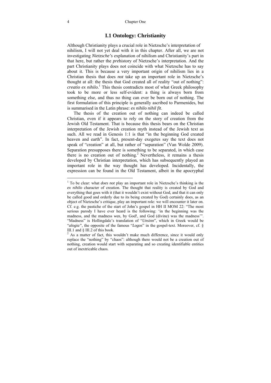#### **I.1 Ontology: Christianity**

Although Christianity plays a crucial role in Nietzsche's interpretation of nihilism, I will not yet deal with it in this chapter. After all, we are not investigating *Nietzsche's* explanation of nihilism and Christianity's part in that here, but rather the *pre*history of Nietzsche's interpretation. And the part Christianity plays does not coincide with what Nietzsche has to say about it. This is because a very important origin of nihilism lies in a Christian thesis that does *not* take up an important role in Nietzsche's thought at all: the thesis that God created all of reality "out of nothing": *creatio ex nihilo*. 1 This thesis contradicts most of what Greek philosophy took to be more or less self-evident: a thing is always born from something else, and thus no thing can ever be born out of nothing. The first formulation of this principle is generally ascribed to Parmenides, but is summarised in the Latin phrase: *ex nihilo nihil fit*.

The thesis of the creation out of nothing can indeed be called Christian, even if it appears to rely on the story of creation from the Jewish Old Testament. That is because this thesis bears on the Christian interpretation of the Jewish creation myth instead of the Jewish text as such. All we read in Genesis 1:1 is that "in the beginning God created heaven and earth". In fact, present-day exegetes say the text does not speak of "creation" at all, but rather of "separation" (Van Wolde 2009). Separation presupposes there is something to be separated, in which case there is no creation out of nothing.<sup>2</sup> Nevertheless, it remains a thesis developed by Christian interpretation, which has subsequently played an important role in the way thought has developed. Incidentally, the expression can be found in the Old Testament, albeit in the apocryphal

<sup>&</sup>lt;sup>1</sup> To be clear: what *does not* play an important role in Nietzsche's thinking is the *ex nihilo* character of creation. The thought that reality is created by God and everything that goes with it (that it wouldn't exist without God, and that it can only be called good and orderly due to its being created by God) certainly does, as an object of Nietzsche's critique, play an important role: we will encounter it later on. Cf. e.g. the pastiche of the start of John's gospel in HH II MOM 22: "The most serious parody I have ever heard is the following: 'in the beginning was the madness, and the madness *was*, by God!, and God (divine) was the madness'". "Madness" is Hollingdale's translation of "*Unsinn*", which in Greek would be "*alogia"*, the opposite of the famous "*Logos*" in the gospel-text. Moreover, cf. § III.1 and § III.2 of this book.

 $2$  As a matter of fact, this wouldn't make much difference, since it would only replace the "nothing" by "chaos": although there would not be a creation out of nothing, creation would start with separating and so creating identifiable entities out of inextricable chaos.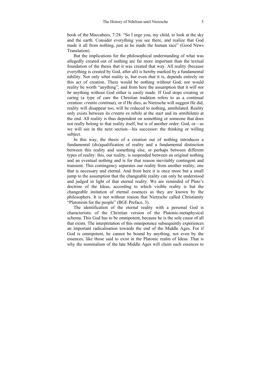book of the Maccabees, 7:28: "So I urge you, my child, to look at the sky and the earth. Consider everything you see there, and realize that God made it all from nothing, just as he made the human race" (Good News) Translation).

But the implications for the philosophical understanding of what was allegedly created out of nothing are far more important than the textual foundation of the thesis that it was created that way. All reality (because everything is created by God, after all) is hereby marked by a fundamental nihility. Not only *what* reality is, but even *that* it is, depends entirely on this act of creation. There would be nothing without God, nor would reality be worth "anything"; and from here the assumption that it *will not be* anything without God either is easily made. If God stops creating or caring (a type of care the Christian tradition refers to as a continual creation: *creatio continua*), or if He dies, as Nietzsche will suggest He did, reality will disappear too, will be reduced to nothing, annihilated. Reality only exists between its *creatio ex nihilo* at the start and its *annihilatio* at the end. All reality is thus dependent on something or someone that does not really belong to that reality itself, but is of another order: God, or—as we will see in the next section—his successor: the thinking or willing subject.

In this way, the thesis of a creation out of nothing introduces a fundamental (dis)qualification of reality and a fundamental distinction between this reality and something else, or perhaps between different types of reality: this, our reality, is suspended between an original nothing and an eventual nothing and is for that reason inevitably contingent and transient. This contingency separates our reality from another reality, one that is necessary and eternal. And from here it is once more but a small jump to the assumption that the changeable reality can only be understood and judged in light of that eternal reality. We are reminded of Plato's doctrine of the Ideas, according to which visible reality is but the changeable imitation of eternal essences as they are known by the philosophers. It is not without reason that Nietzsche called Christianity "Platonism for the people" (BGE Preface, 3).

The identification of the eternal reality with a personal God is characteristic of the Christian version of the Platonic-metaphysical schema. This God has to be omnipotent, because he is the sole cause of all that exists. The interpretation of this omnipotence subsequently experiences an important radicalisation towards the end of the Middle Ages. For if God is omnipotent, he cannot be bound by anything, not even by the essences, like those said to exist in the Platonic realm of Ideas. That is why the nominalism of the late Middle Ages will claim such essences to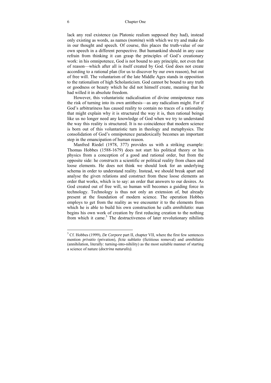#### 6 Chapter One

lack any real existence (as Platonic realism supposed they had), instead only existing as words, as names (*nomina*) with which we try and make do in our thought and speech. Of course, this places the truth-value of our own speech in a different perspective. But humankind should in any case refrain from thinking it can grasp the principles of God's creationary work: in his omnipotence, God is not bound to any principle, not even that of reason—which after all is itself created by God. God does not create according to a rational plan (for us to discover by our own reason), but out of free will. The voluntarism of the late Middle Ages stands in opposition to the rationalism of high Scholasticism. God cannot be bound to any truth or goodness or beauty which he did not himself create, meaning that he had willed it in absolute freedom.

However, this voluntaristic radicalisation of divine omnipotence runs the risk of turning into its own antithesis—as any radicalism might. For if God's arbitrariness has caused reality to contain no traces of a rationality that might explain why it is structured the way it is, then rational beings like us no longer need any knowledge of God when we try to understand the way this reality is structured. It is no coincidence that modern science is born out of this voluntaristic turn in theology and metaphysics. The consolidation of God's omnipotence paradoxically becomes an important step in the emancipation of human reason.

Manfred Riedel (1978, 377) provides us with a striking example: Thomas Hobbes (1588-1679) does not start his political theory or his physics from a conception of a good and rational order, but from the opposite side: he *constructs* a scientific or political reality from chaos and loose elements. He does not think we should look for an underlying schema in order to understand reality. Instead, we should break apart and analyse the given relations and construct from these loose elements an order that works, which is to say: an order that answers to our desires. As God created out of free will, so human will becomes a guiding force in technology. Technology is thus not only an extension of, but already present at the foundation of modern science. The operation Hobbes employs to get from the reality as we encounter it to the elements from which he is able to build his own construction he calls *annihilatio*: man begins his own work of creation by first reducing creation to the nothing from which it came.<sup>3</sup> The destructiveness of later revolutionary nihilists

<sup>3</sup> Cf. Hobbes (1999), *De Corpore* part II, chapter VII, where the first few sentences mention *privatio* (privation), *ficta sublatio* (fictitious removal) and *annihilatio* (annihilation, literally: turning-into-nihility) as the most suitable manner of starting a science of nature (*doctrina naturalis).*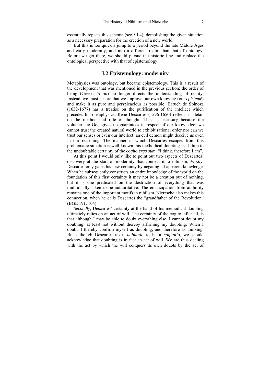essentially repeats this schema (see  $\S$  I.4): demolishing the given situation as a necessary preparation for the erection of a new world.

But this is too quick a jump to a period beyond the late Middle Ages and early modernity, and into a different realm than that of ontology. Before we get there, we should pursue the historic line and replace the ontological perspective with that of epistemology.

#### **I.2 Epistemology: modernity**

Metaphysics was ontology, but became epistemology. This is a result of the development that was mentioned in the previous section: the order of being (Greek: *to on*) no longer directs the understanding of reality. Instead, we must ensure that we improve our own knowing (our *epistèmè*) and make it as pure and perspicacious as possible. Baruch de Spinoza (1632-1677) has a treatise on the purification of the intellect which precedes his metaphysics; René Descartes (1596-1650) reflects in detail on the method and rule of thought. This is necessary because the voluntaristic God gives no guarantees in respect of our knowledge; we cannot trust the created natural world to exhibit rational order nor can we trust our senses or even our intellect: an evil demon might deceive us even in our reasoning. The manner in which Descartes escapes from this problematic situation is well-known: his methodical doubting leads him to the undoubtable certainty of the *cogito ergo sum*: "I think, therefore I am".

At this point I would only like to point out two aspects of Descartes' discovery at the start of modernity that connect it to nihilism. *Firstly*, Descartes only gains his new certainty by negating all apparent knowledge. When he subsequently constructs an entire knowledge of the world on the foundation of this first certainty it may not be a creation out of nothing, but it is one predicated on the destruction of everything that was traditionally taken to be authoritative. The emancipation from authority remains one of the important motifs in nihilism. Nietzsche also makes this connection, when he calls Descartes the "grandfather of the Revolution" (BGE 191, 104).

*Secondly*, Descartes' certainty at the hand of his methodical doubting ultimately relies on an act of will. The certainty of the cogito, after all, is that although I may be able to doubt everything else, I cannot doubt my doubting, at least not without thereby affirming my doubting. When I doubt, I thereby confirm myself as doubting, and therefore as thinking. But although Descartes takes *dubitatio* to be a *cogitatio*, we should acknowledge that doubting is in fact an act of will. We are thus dealing with the act by which the will conquers its own doubts by the act of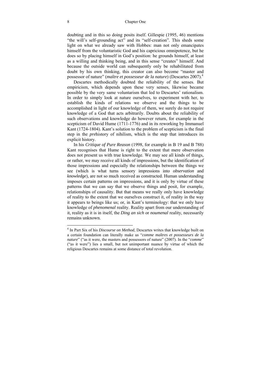#### 8 Chapter One

doubting and in this so doing posits itself. Gillespie (1995, 46) mentions "the will's self-grounding act" and its "self-creation". This sheds some light on what we already saw with Hobbes: man not only emancipates himself from the voluntaristic God and his capricious omnipotence, but he does so by placing himself in God's position: he grounds himself, at least as a willing and thinking being, and in this sense "creates" himself. And because the outside world can subsequently only be rehabilitated from doubt by his own thinking, this creator can also become "master and possessor of nature" (*maître et possesseur de la nature*) (Descartes 2007).4

Descartes methodically doubted the reliability of the senses. But empiricism, which depends upon these very senses, likewise became possible by the very same voluntarism that led to Descartes' rationalism. In order to simply look at nature ourselves, to experiment with her, to establish the kinds of relations we observe and the things to be accomplished in light of our knowledge of them, we surely do not require knowledge of a God that acts arbitrarily. Doubts about the reliability of such observations and knowledge do however return, for example in the scepticism of David Hume (1711-1776) and in its reworking by Immanuel Kant (1724-1804). Kant's solution to the problem of scepticism is the final step in the *pre*history of nihilism, which is the step that introduces its explicit history.

In his *Critique of Pure Reason* (1998, for example in B 19 and B 788) Kant recognises that Hume is right to the extent that mere observation does not present us with true knowledge. We may see all kinds of things, or rather, we may receive all kinds of impressions, but the identification of those impressions and especially the relationships between the things we see (which is what turns sensory impressions into *observation* and *knowledge*), are not so much received as constructed. Human understanding imposes certain patterns on impressions, and it is only by virtue of these patterns that we can say that we observe things and posit, for example, relationships of causality. But that means we really only have knowledge of reality to the extent that we ourselves construct it, of reality in the way it appears to beings like us; or, in Kant's terminology: that we only have knowledge of *phenomenal* reality. Reality apart from our understanding of it, reality as it is in itself, the *Ding an sich* or *noumenal* reality, necessarily remains unknown.

<sup>&</sup>lt;sup>4</sup> In Part Six of his *Discourse on Method*, Descartes writes that knowledge built on a certain foundation can literally make us "*comme maîtres et possesseurs de la nature*" ("as it were, the masters and possessors of nature" (2007). In the "*comme*" ("as it were") lies a small, but not unimportant nuance by virtue of which the religious Descartes remains at some distance of total revolution.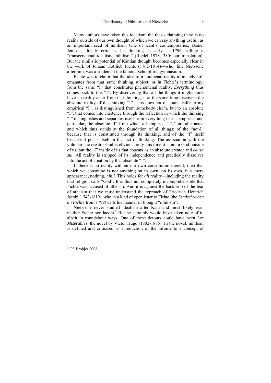Many authors have taken this idealism, the thesis claiming there is no reality outside of our own thought of which we can say anything useful, as an important seed of nihilism. One of Kant's contemporaries, Daniel Jenisch, already criticises his thinking as early as 1796, calling it "transcendental-idealistic nihilism" (Riedel 1978, 380; our translation). But the nihilistic potential of Kantian thought becomes especially clear in the work of Johann Gottlieb Fichte (1762-1814)—who, like Nietzsche after him, was a student at the famous Schulpforta gymnasium.

Fichte was to claim that the idea of a noumenal reality ultimately still emanates from that same thinking subject, or in Fichte's terminology, from the same "I" that constitutes phenomenal reality. *Everything* thus comes back to this "I". By discovering that all the things it might think have no reality apart from that thinking, it at the same time discovers the absolute reality of the thinking "I". This does not of course refer to my empirical "I", as distinguished from somebody else's, but to an absolute "I", that comes into existence through the reflection in which the thinking "I" distinguishes and separates itself from everything that is empirical and particular; the absolute "I" from which all empirical "I's" are abstracted and which thus stands at the foundation of all things: of the "not-I" because that is constituted through its thinking, and of the "I" itself because it posits itself in that act of thinking. The association with the voluntaristic creator-God is obvious: only this time it is not a God outside of us, but the "I" inside of us that appears as an absolute creator and *causa sui*. All reality is stripped of its independence and practically dissolves into the act of creation by that absolute "I".

If there is no reality without our own constitution thereof, then that which we constitute is not anything on its own; on its own, it is mere appearance, nothing, *nihil*. This holds for *all* reality—including the reality that religion calls "God". It is thus not completely incomprehensible that Fichte was accused of atheism. And it is against the backdrop of the fear of atheism that we must understand the reproach of Friedrich Heinrich Jacobi (1743-1819), who in a kind of open letter to Fichte (the *Sendschreiben an Fichte* from 1799) calls his manner of thought "nihilism".

Nietzsche never studied idealism after Kant and most likely read neither Fichte nor Jacobi.<sup>5</sup> But he certainly would have taken note of it, albeit in roundabout ways. One of these detours could have been *Les Misérables*, the novel by Victor Hugo (1802-1885). In the novel, nihilism is defined and criticised as a reduction of the infinite to a concept of

 $<sup>5</sup>$  Cf. Brobjer 2008.</sup>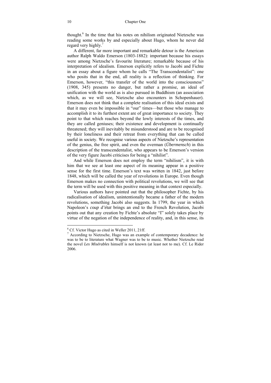thought.<sup>6</sup> In the time that his notes on nihilism originated Nietzsche was reading some works by and especially about Hugo, whom he never did regard very highly.<sup>7</sup>

A different, far more important and remarkable detour is the American author Ralph Waldo Emerson (1803-1882): important because his essays were among Nietzsche's favourite literature; remarkable because of his interpretation of idealism. Emerson explicitly refers to Jacobi and Fichte in an essay about a figure whom he calls "The Transcendentalist": one who posits that in the end, all reality is a reflection of thinking. For Emerson, however, "this transfer of the world into the consciousness" (1908, 345) presents no danger, but rather a promise, an ideal of unification with the world as is also pursued in Buddhism (an association which, as we will see. Nietzsche also encounters in Schopenhauer). Emerson does not think that a complete realisation of this ideal exists and that it may even be impossible in "our" times—but those who manage to accomplish it to its furthest extent are of great importance to society. They point to that which reaches beyond the lowly interests of the times, and they are called geniuses; their existence and development is continually threatened; they will inevitably be misunderstood and are to be recognised by their loneliness and their retreat from everything that can be called useful in society. We recognise various aspects of Nietzsche's representation of the genius, the free spirit, and even the overman (*Übermensch*) in this description of the transcendentalist, who appears to be Emerson's version of the very figure Jacobi criticises for being a "nihilist".

And while Emerson does not employ the term "nihilism", it is with him that we see at least one aspect of its meaning appear in a positive sense for the first time. Emerson's text was written in 1842, just before 1848, which will be called the year of revolutions in Europe. Even though Emerson makes no connection with political revolutions, we will see that the term will be used with this positive meaning in that context especially.

Various authors have pointed out that the philosopher Fichte, by his radicalisation of idealism, unintentionally became a father of the modern revolutions, something Jacobi also suggests. In 1799, the year in which Napoleon's *coup d'état* brings an end to the French Revolution, Jacobi points out that any creation by Fichte's absolute "I" solely takes place by virtue of the negation of the independence of reality, and, in this sense, its

 6 Cf. Victor Hugo as cited in Weller 2011, 21ff.

 $7$  According to Nietzsche, Hugo was an example of contemporary decadence: he was to be to literature what Wagner was to be to music. Whether Nietzsche read the novel *Les Misérables* himself is not known (at least not to me). Cf. Le Rider 2006.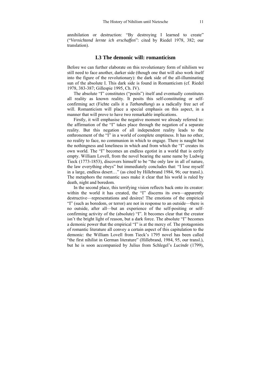annihilation or destruction: "By destroying I learned to create" ("*Vernichtend lernte ich erschaffen*": cited by Riedel 1978, 382; our translation).

#### **I.3 The demonic will: romanticism**

Before we can further elaborate on this revolutionary form of nihilism we still need to face another, darker side (though one that will also work itself into the figure of the revolutionary): the dark side of the all-illuminating sun of the absolute I. This dark side is found in Romanticism (cf. Riedel 1978, 383-387; Gillespie 1995, Ch. IV).

The absolute "I" constitutes ("posits") itself and eventually constitutes all reality as known reality. It posits this self-constituting or selfconfirming act (Fichte calls it a *Tathandlung*) as a radically free act of will. Romanticism will place a special emphasis on this aspect, in a manner that will prove to have two remarkable implications.

Firstly, it will emphasise the negative moment we already referred to: the affirmation of the "I" takes place through the negation of a separate reality. But this negation of all independent reality leads to the enthronement of the "I" in a world of complete emptiness. It has no other, no reality to face, no communion in which to engage. There is naught but the nothingness and loneliness in which and from which the "I" creates its own world. The "I" becomes an endless egotist in a world that is eerily empty. William Lovell, from the novel bearing the same name by Ludwig Tieck (1773-1853), discovers himself to be "the only law in all of nature, the law everything obeys" but immediately concludes that: "I lose myself in a large, endless desert…" (as cited by Hillebrand 1984, 96; our transl.). The metaphors the romantic uses make it clear that his world is ruled by death, night and boredom.

In the second place, this terrifying vision reflects back onto its creator: within the world it has created, the "I" discerns its own—apparently destructive—representations and desires! The emotions of the empirical "I" (such as boredom, or terror) are not in response to an outside—there is no outside, after all—but an experience of the self-positing or selfconfirming activity of the (absolute) "I". It becomes clear that the creator isn't the bright light of reason, but a dark force. The absolute "I" becomes a demonic power that the empirical "I" is at the mercy of. The protagonists of romantic literature all convey a certain aspect of this capitulation to the demonic: the William Lovell from Tieck's 1795 novel has been called "the first nihilist in German literature" (Hillebrand, 1984, 95, our transl.), but he is soon accompanied by Julius from Schlegel's *Lucinde* (1799),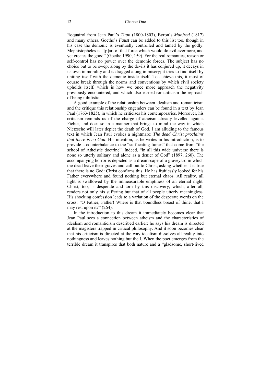Roquairol from Jean Paul's *Titan* (1800-1803), Byron's *Manfred* (1817) and many others. Goethe's *Faust* can be added to this list too, though in his case the demonic is eventually controlled and tamed by the godly: Mephistopheles is "[p]art of that force which would do evil evermore, and yet creates the good" (Goethe 1990, 159). For the real romantics, reason or self-control has no power over the demonic forces. The subject has no choice but to be swept along by the devils it has conjured up, it decays in its own immorality and is dragged along in misery; it tries to find itself by uniting itself with the demonic inside itself. To achieve this, it must of course break through the norms and conventions by which civil society upholds itself, which is how we once more approach the negativity previously encountered, and which also earned romanticism the reproach of being nihilistic.

A good example of the relationship between idealism and romanticism and the critique this relationship engenders can be found in a text by Jean Paul (1763-1825), in which he criticises his contemporaries. Moreover, his criticism reminds us of the charge of atheism already levelled against Fichte, and does so in a manner that brings to mind the way in which Nietzsche will later depict the death of God. I am alluding to the famous text in which Jean Paul evokes a nightmare: *The dead Christ proclaims that there is no God*. His intention, as he writes in his introduction, is to provide a counterbalance to the "suffocating fumes" that come from "the school of Atheistic doctrine". Indeed, "in all this wide universe there is none so utterly solitary and alone as a denier of God" (1897, 260). The accompanying horror is depicted as a dreamscape of a graveyard in which the dead leave their graves and call out to Christ, asking whether it is true that there is no God: Christ confirms this. He has fruitlessly looked for his Father everywhere and found nothing but eternal chaos. All reality, all light is swallowed by the immeasurable emptiness of an eternal night. Christ, too, is desperate and torn by this discovery, which, after all, renders not only his suffering but that of all people utterly meaningless. His shocking confession leads to a variation of the desperate words on the cross: "O Father, Father! Where is that boundless breast of thine, that I may rest upon it?" (264).

In the introduction to this dream it immediately becomes clear that Jean Paul sees a connection between atheism and the characteristics of idealism and romanticism described earlier: he says his dream is directed at the magisters trapped in critical philosophy. And it soon becomes clear that his criticism is directed at the way idealism dissolves all reality into nothingness and leaves nothing but the I. When the poet emerges from the terrible dream it transpires that both nature and a "gladsome, short-lived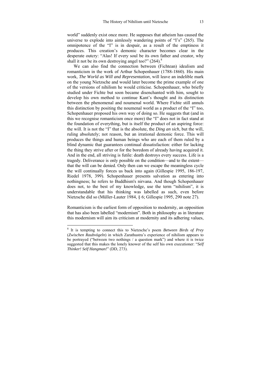world" suddenly exist once more. He supposes that atheism has caused the universe to explode into aimlessly wandering points of "I's" (265). The omnipotence of the "I" is in despair, as a result of the emptiness it produces. This creation's demonic character becomes clear in the desperate outcry: "Alas! If every soul be its own father and creator, why shall it not be its own destroying angel too?"  $(264)$ .<sup>8</sup>

We can also find the connection between (Fichtean) idealism and romanticism in the work of Arthur Schopenhauer (1788-1860). His main work, *The World as Will and Representation*, will leave an indelible mark on the young Nietzsche and would later become the prime example of one of the versions of nihilism he would criticise. Schopenhauer, who briefly studied under Fichte but soon became disenchanted with him, sought to develop his own method to continue Kant's thought and its distinction between the phenomenal and noumenal world. Where Fichte still annuls this distinction by positing the noumenal world as a product of the "I" too, Schopenhauer proposed his own way of doing so. He suggests that (and in this we recognise romanticism once more) the "I" does not in fact stand at the foundation of everything, but is itself the product of an aspiring force: the will. It is not the "I" that is the absolute, the *Ding an sich*, but the will, ruling absolutely; not reason, but an irrational demonic force. This will produces the things and human beings who are each of them ruled by a blind dynamic that guarantees continual dissatisfaction: either for lacking the thing they strive after or for the boredom of already having acquired it. And in the end, all striving is futile: death destroys every success. Life is a tragedy. Deliverance is only possible on the condition—and to the extent that the will can be denied. Only then can we escape the meaningless cycle the will continually forces us back into again (Gillespie 1995, 186-197, Riedel 1978, 399). Schopenhauer presents salvation as entering into nothingness; he refers to Buddhism's nirvana. And though Schopenhauer does not, to the best of my knowledge, use the term "nihilism", it is understandable that his thinking was labelled as such, even before Nietzsche did so (Müller-Lauter 1984, § 6; Gillespie 1995, 290 note 27).

Romanticism is the earliest form of opposition to modernity, an opposition that has also been labelled "modernism". Both in philosophy as in literature this modernism will aim its criticism at modernity and its adhering values,

 8 It is tempting to connect this to Nietzsche's poem *Between Birds of Prey* (*Zwischen Raubvögeln*) in which Zarathustra's experience of nihilism appears to be portrayed ("between two nothings / a question mark") and where it is twice suggested that this makes the lonely knower of the self his own executioner: "*Self Thinker! Self Hangman!*" (DD, 273).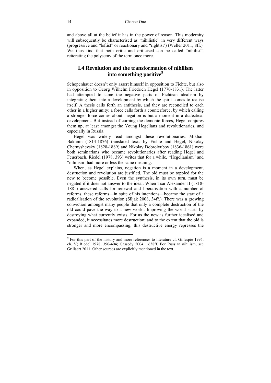and above all at the belief it has in the power of reason. This modernity will subsequently be characterised as "nihilistic" in very different ways (progressive and "leftist" or reactionary and "rightist') (Weller 2011, 8ff.). We thus find that both critic and criticised can be called "nihilist", reiterating the polysemy of the term once more.

### **I.4 Revolution and the transformation of nihilism into something positive**<sup>9</sup>

Schopenhauer doesn't only assert himself in opposition to Fichte, but also in opposition to Georg Wilhelm Friedrich Hegel (1770-1831). The latter had attempted to tame the negative parts of Fichtean idealism by integrating them into a development by which the spirit comes to realise itself. A thesis calls forth an antithesis, and they are reconciled to each other in a higher unity; a force calls forth a counterforce, by which calling a stronger force comes about: negation is but a moment in a dialectical development. But instead of curbing the demonic forces, Hegel conjures them up, at least amongst the Young Hegelians and revolutionaries, and especially in Russia.

Hegel was widely read amongst these revolutionaries. Mikhail Bakunin (1814-1876) translated texts by Fichte and Hegel, Nikolay Chernyshevsky (1828-1889) and Nikolay Dobrolyubov (1836-1861) were both seminarians who became revolutionaries after reading Hegel and Feuerbach. Riedel (1978, 393) writes that for a while, "Hegelianism" and "nihilism' had more or less the same meaning.

When, as Hegel explains, negation is a moment in a development, destruction and revolution are justified. The old must be toppled for the new to become possible. Even the synthesis, in its own turn, must be negated if it does not answer to the ideal. When Tsar Alexander II (1818- 1881) answered calls for renewal and liberalisation with a number of reforms, these reforms—in spite of his intentions—became the start of a radicalisation of the revolution (Siljak 2008, 34ff.). There was a growing conviction amongst many people that only a complete destruction of the old could pave the way to a new world. Improving the world starts by destroying what currently exists. For as the new is further idealised and expanded, it necessitates more destruction; and to the extent that the old is stronger and more encompassing, this destructive energy represses the

<sup>&</sup>lt;sup>9</sup> For this part of the history and more references to literature cf. Gillespie 1995, ch. V; Riedel 1978, 390-404; Cassedy 2004, 1638ff. For Russian nihilism, see Grillaert 2011. Other sources are explicitly mentioned in the text.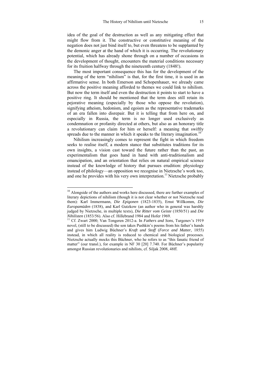idea of the goal of the destruction as well as any mitigating effect that might flow from it. The constructive or constitutive meaning of the negation does not just bind itself to, but even threatens to be supplanted by the demonic anger at the hand of which it is occurring. The revolutionary potential, which has already shone through on a number of occasions in the development of thought, encounters the material conditions necessary for its fruition halfway through the nineteenth century (1848!).

The most important consequence this has for the development of the meaning of the term "nihilism" is that, for the first time, it is used in an affirmative sense. In both Emerson and Schopenhauer, we already came across the positive meaning afforded to themes we could link to nihilism. But now the term itself and even the destruction it points to start to have a positive ring. It should be mentioned that the term does still retain its pejorative meaning (especially by those who oppose the revolution), signifying atheism, hedonism, and egoism as the representative trademarks of an era fallen into disrepair. But it is telling that from here on, and especially in Russia, the term is no longer used exclusively as condemnation or profanity directed at others, but also as an honorary title a revolutionary can claim for him or herself: a meaning that swiftly spreads due to the manner in which it speaks to the literary imagination.<sup>10</sup>

Nihilism increasingly comes to represent the fight in which freedom seeks to realise itself, a modern stance that substitutes traditions for its own insights, a vision cast toward the future rather than the past, an experimentalism that goes hand in hand with anti-traditionalism and emancipation, and an orientation that relies on natural empirical science instead of the knowledge of history that pursues erudition: physiology instead of philology—an opposition we recognise in Nietzsche's work too, and one he provides with his very own interpretation.<sup>11</sup> Nietzsche probably

<sup>&</sup>lt;sup>10</sup> Alongside of the authors and works here discussed, there are further examples of literary depictions of nihilism (though it is not clear whether or not Nietzsche read them): Karl Immermann, *Die Epigonen* (1823-1835), Ernst Willkomm, *Die Europamüden* (1838), and Karl Gutzkow (an author who in general was harshly judged by Nietzsche, in multiple texts), *Die Ritter vom Geiste* (1850/51) and *Die Nihilisten* (1853/56). Also cf. Hillebrand 1984 and Hofer 1969.<br><sup>11</sup> Cf. Zwart 2000; Van Tongeren 2012-a. In *Fathers and Sons*, Turgenev's 1919

novel, (still to be discussed) the son takes Pushkin's poems from his father's hands and gives him Ludwig Büchner's *Kraft und Stoff* (*Force and Matter,* 1855) instead, in which all reality is reduced to chemical and biological processes. Nietzsche actually mocks this Büchner, who he refers to as "this fanatic friend of matter" (our transl.), for example in NF 30 [20] 7.740. For Büchner's popularity amongst Russian revolutionaries and nihilists, cf. Siljak 2008, 48ff.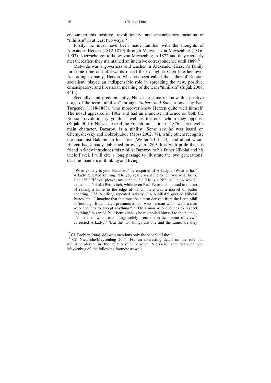encounters this positive, revolutionary, and emancipatory meaning of "nihilism" in at least two ways.<sup>12</sup>

Firstly, he must have been made familiar with the thoughts of Alexander Herzen (1812-1870) through Malwida von Meysenbug (1816- 1903). Nietzsche got to know von Meysenbug in 1872 and they regularly met thereafter: they maintained an intensive correspondence until 1889.<sup>13</sup>

Malwida was a governess and teacher in Alexander Herzen's family for some time and afterwards raised their daughter Olga like her own. According to many, Herzen, who has been called the father of Russian socialism, played an indispensable role in spreading the new, positive, emancipatory, and libertarian meaning of the term "nihilism" (Siljak 2008, 44ff.).

Secondly, and predominantly, Nietzsche came to know this positive usage of the term "nihilism" through *Fathers and Sons*, a novel by Ivan Turgenev (1818-1883), who moreover knew Herzen quite well himself. The novel appeared in 1862 and had an immense influence on both the Russian revolutionary youth as well as the ones whom they opposed (Siljak, 50ff.): Nietzsche read the French translation in 1876. The novel's main character, Bazarov, is a nihilist. Some say he was based on Chernyshevsky and Dobrolyubov (Moss 2002, 78), while others recognise the anarchist Bakunin in his ideas (Weller 2011, 23), and about whom Herzen had already published an essay in 1869. It is with pride that his friend Arkady introduces this nihilist Bazarov to his father Nikolai and his uncle Pavel. I will cite a long passage to illustrate the two generations' clash in manners of thinking and living:

"What exactly is your Bazarov?" he enquired of Arkady. / "What is he?" Arkady repeated smiling. "Do you really want me to tell you what he is, Uncle?" / "If you please, my nephew." / "He is a Nihilist." / "A what?" exclaimed Nikolai Petrovitch, while even Paul Petrovitch paused in the act of raising a knife to the edge of which there was a morsel of butter adhering. / "A Nihilist," repeated Arkady. /"A Nihilist?" queried Nikolai Petrovitch. "I imagine that that must be a term derived from the Latin nihil or 'nothing.' It denotes, I presume, a man who—a man who—well, a man who declines to accept anything." / "Or a man who declines to respect anything," hazarded Paul Petrovitch as he re-applied himself to the butter. / "No, a man who treats things solely from the critical point of view," corrected Arkady. / "But the two things are one and the same, are they

 $12$  Cf. Brobjer (2008, 88) who mentions only the second of these.

<sup>&</sup>lt;sup>13</sup> Cf. Nietzsche/Meysenbug 2004. For an interesting detail on the role that nihilism played in the relationship between Nietzsche and Malwida von Meysenbug cf. the following footnote as well.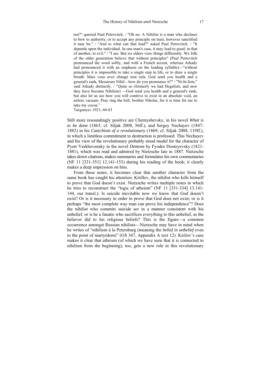not?" queried Paul Petrovitch. / "Oh no. A Nihilist is a man who declines to bow to authority, or to accept any principle on trust, however sanctified it may be." / "And to what can that lead?" asked Paul Petrovitch. / "It depends upon the individual. In one man's case, it may lead to good; in that of another, to evil." / "I see. But we elders view things differently. We folk of the older generation believe that without principles" (Paul Petrovitch pronounced the word softly, and with a French accent, whereas Arkady had pronounced it with an emphasis on the leading syllable)—"without principles it is impossible to take a single step in life, or to draw a single breath. Mais vous avez changé tout cela. God send you health and a general's rank, Messieurs Nihil—how do you pronounce it?" / "Ni-hi-lists," said Arkady distinctly. / "Ouite so (formerly we had Hegelists, and now they have become Nihilists) —God send you health and a general's rank, but also let us see how you will contrive to exist in an absolute void, an airless vacuum. Pray ring the bell, brother Nikolai, for it is time for me to take my cocoa."

Turgenyev 1921, 60-63

Still more resoundingly positive are Chernyshevsky, in his novel *What is to be done* (1863; cf. Siljak 2008, 56ff.), and Sergey Nechayev (1847- 1882) in his *Catechism of a revolutionary* (1869; cf. Siljak 2008, 119ff.), in which a limitless commitment to destruction is professed. This Nechayev and his view of the revolutionary probably stood model for the character of Pyotr Verkhovensky in the novel *Demons* by Fyodor Dostoyevsky (1821- 1881), which was read and admired by Nietzsche late in 1887. Nietzsche takes down citations, makes summaries and formulates his own commentaries (NF 11 [331-351] 12.141-153) during his reading of the book; it clearly makes a deep impression on him.

From these notes, it becomes clear that another character from the same book has caught his attention: Kirillov, the nihilist who kills himself to prove that God doesn't exist. Nietzsche writes multiple notes in which he tries to reconstruct the "logic of atheism" (NF 11 [331-334] 13.141- 144, our transl.): Is suicide inevitable now we know that God doesn't exist? Or is it necessary in order to prove that God does not exist; or is it perhaps "the most complete way man can prove his independence"? Does the nihilist who commits suicide act in a manner consistent with his unbelief, or is he a fanatic who sacrifices everything to this unbelief, as the believer did to his religious beliefs? This is the figure—a common occurrence amongst Russian nihilists—Nietzsche may have in mind when he writes of "nihilism á la Petersburg (meaning the *belief in unbelief* even to the point of martyrdom)" (GS 347, Appendix A text 12). Kirilov's case makes it clear that atheism (of which we have seen that it is connected to nihilism from the beginning), too, gets a new role in this revolutionary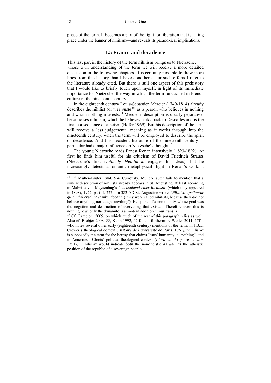phase of the term. It becomes a part of the fight for liberation that is taking place under the banner of nihilism—and reveals its paradoxical implications.

#### **I.5 France and decadence**

This last part in the history of the term nihilism brings us to Nietzsche, whose own understanding of the term we will receive a more detailed discussion in the following chapters. It is certainly possible to draw more lines from this history than I have done here—for such efforts I refer to the literature already cited. But there is still one aspect of this prehistory that I would like to briefly touch upon myself, in light of its immediate importance for Nietzsche: the way in which the term functioned in French culture of the nineteenth century.

In the eighteenth century Louis-Sébastien Mercier (1740-1814) already describes the nihilist (or "*rienniste"*) as a person who believes in nothing and whom nothing interests.<sup>14</sup> Mercier's description is clearly pejorative: he criticises nihilism, which he believes harks back to Descartes and is the final consequence of atheism (Hofer 1969). But his description of the term will receive a less judgemental meaning as it works through into the nineteenth century, when the term will be employed to describe the spirit of decadence. And this decadent literature of the nineteenth century in particular had a major influence on Nietzsche's thought.<sup>15</sup>

The young Nietzsche reads Ernest Renan intensively (1823-1892). At first he finds him useful for his criticism of David Friedrich Strauss (Nietzsche's first *Untimely Meditation* engages his ideas), but he increasingly detects a romantic-metaphysical flight in Renan's work, a

<sup>&</sup>lt;sup>14</sup> Cf. Müller-Lauter 1984, § 4. Curiously, Müller-Lauter fails to mention that a similar description of nihilists already appears in St. Augustine, at least according to Malwida von Meysenbug's *Lebensabend einer Idealistin* (which only appeared in 1898), 1922, part II, 227: "In 382 AD St. Augustine wrote: '*Nihilisti apellantur quia nihil credunt et nihil docent*' ('they were called nihilists, because they did not believe anything nor taught anything'). He spoke of a community whose goal was the negation and destruction of everything that existed. Therefore even this is nothing new, only the dynamite is a modern addition." (our transl.)<br><sup>15</sup> Cf. Campioni 2009, on which much of the rest of this paragraph relies as well.

Also cf. Brobjer 2008, 88, Kuhn 1992, 42ff.; and furthermore Weller 2011, 17ff., who notes several other early (eighteenth century) mentions of the term: in J.B.L. Crevier's theological context (*Histoire de l'université de Paris,* 1761*)*, "nihilism" is supposedly the term for the heresy that claims Jesus' humanity is "nothing", and in Anacharsis Cloots' political-theological context (*L'orateur du genre-humain*, 1791), "nihilism" would indicate *both* the non-theistic *as well as* the atheistic position of the republic of a sovereign people.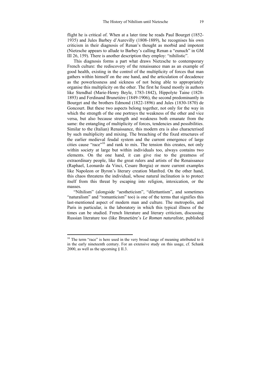flight he is critical of. When at a later time he reads Paul Bourget (1852- 1935) and Jules Barbey d'Aurevilly (1808-1889), he recognises his own criticism in their diagnosis of Renan's thought as morbid and impotent (Nietzsche appears to allude to Barbey's calling Renan a "eunuch" in GM III 26, 159). There is another description they employ: "nihilistic".

This diagnosis forms a part what draws Nietzsche to contemporary French culture: the rediscovery of the renaissance man as an example of good health, existing in the control of the multiplicity of forces that man gathers within himself on the one hand, and the articulation of decadence as the powerlessness and sickness of not being able to appropriately organise this multiplicity on the other. The first he found mostly in authors like Stendhal (Marie-Henry Beyle, 1783-1842), Hippolyte Taine (1828- 1893) and Ferdinand Brunetière (1849-1906), the second predominantly in Bourget and the brothers Edmond (1822-1896) and Jules (1830-1870) de Goncourt. But these two aspects belong together, not only for the way in which the strength of the one portrays the weakness of the other and vice versa, but also because strength and weakness both emanate from the same: the entangling of multiplicity of forces, tendencies and possibilities. Similar to the (Italian) Renaissance, this modern era is also characterised by such multiplicity and mixing. The breaching of the fixed structures of the earlier medieval feudal system and the current emergence of large cities cause "race"16 and rank to mix. The tension this creates, not only within society at large but within individuals too, always contains two elements. On the one hand, it can give rise to the greatness of extraordinary people, like the great rulers and artists of the Renaissance (Raphael, Leonardo da Vinci, Cesare Borgia) or more current examples like Napoleon or Byron's literary creation Manfred. On the other hand, this chaos threatens the individual, whose natural inclination is to protect itself from this threat by escaping into religion, intoxication, or the masses.

"Nihilism" (alongside "aestheticism", "dilettantism", and sometimes "naturalism" and "romanticism" too) is one of the terms that signifies this last-mentioned aspect of modern man and culture. The metropolis, and Paris in particular, is the laboratory in which this typical illness of the times can be studied. French literature and literary criticism, discussing Russian literature too (like Brunetière's *Le Roman naturaliste*, published

 $16$  The term "race" is here used in the very broad range of meaning attributed to it in the early nineteenth century. For an extensive study on this usage, cf. Schank 2000, as well as the upcoming § II.3.